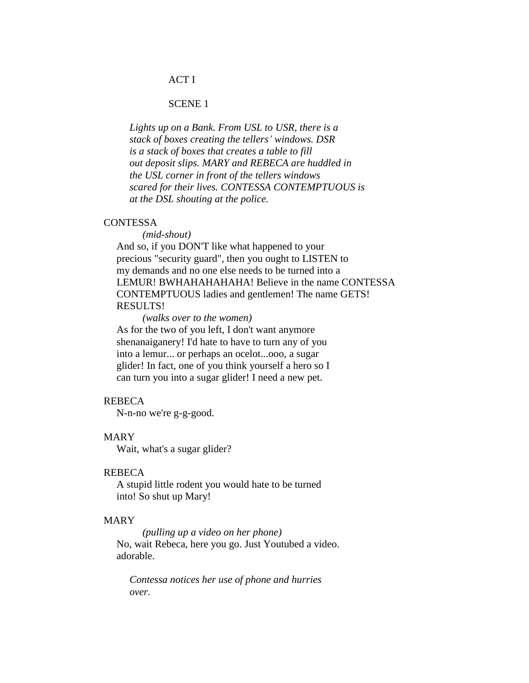# ACT I

# SCENE 1

 *Lights up on a Bank. From USL to USR, there is a stack of boxes creating the tellers' windows. DSR is a stack of boxes that creates a table to fill out deposit slips. MARY and REBECA are huddled in the USL corner in front of the tellers windows scared for their lives. CONTESSA CONTEMPTUOUS is at the DSL shouting at the police.*

#### **CONTESSA**

 *(mid-shout)*

 And so, if you DON'T like what happened to your precious "security guard", then you ought to LISTEN to my demands and no one else needs to be turned into a LEMUR! BWHAHAHAHAHA! Believe in the name CONTESSA CONTEMPTUOUS ladies and gentlemen! The name GETS! RESULTS!

 *(walks over to the women)* As for the two of you left, I don't want anymore shenanaiganery! I'd hate to have to turn any of you into a lemur... or perhaps an ocelot...ooo, a sugar glider! In fact, one of you think yourself a hero so I can turn you into a sugar glider! I need a new pet.

# REBECA

N-n-no we're g-g-good.

#### MARY

Wait, what's a sugar glider?

#### REBECA

 A stupid little rodent you would hate to be turned into! So shut up Mary!

### MARY

 *(pulling up a video on her phone)* No, wait Rebeca, here you go. Just Youtubed a video. adorable.

 *Contessa notices her use of phone and hurries over.*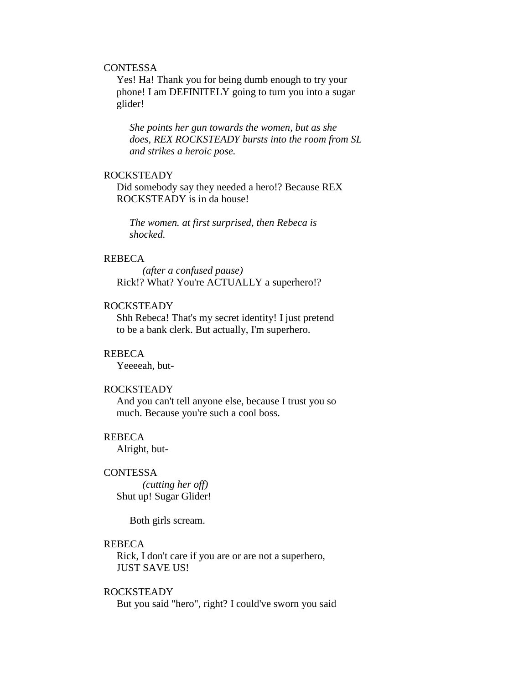# **CONTESSA**

 Yes! Ha! Thank you for being dumb enough to try your phone! I am DEFINITELY going to turn you into a sugar glider!

 *She points her gun towards the women, but as she does, REX ROCKSTEADY bursts into the room from SL and strikes a heroic pose.*

### ROCKSTEADY

 Did somebody say they needed a hero!? Because REX ROCKSTEADY is in da house!

 *The women. at first surprised, then Rebeca is shocked.*

### REBECA

 *(after a confused pause)* Rick!? What? You're ACTUALLY a superhero!?

### ROCKSTEADY

 Shh Rebeca! That's my secret identity! I just pretend to be a bank clerk. But actually, I'm superhero.

#### REBECA

Yeeeeah, but-

## ROCKSTEADY

 And you can't tell anyone else, because I trust you so much. Because you're such a cool boss.

#### REBECA

Alright, but-

#### **CONTESSA**

 *(cutting her off)* Shut up! Sugar Glider!

Both girls scream.

#### REBECA

 Rick, I don't care if you are or are not a superhero, JUST SAVE US!

#### ROCKSTEADY

But you said "hero", right? I could've sworn you said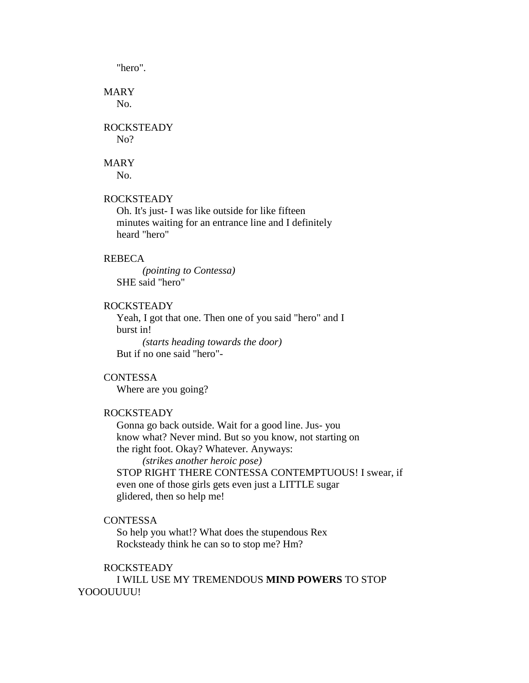"hero".

# MARY

No.

# ROCKSTEADY

N<sub>o</sub>?

# MARY

No.

# ROCKSTEADY

 Oh. It's just- I was like outside for like fifteen minutes waiting for an entrance line and I definitely heard "hero"

### REBECA

 *(pointing to Contessa)* SHE said "hero"

# ROCKSTEADY

 Yeah, I got that one. Then one of you said "hero" and I burst in!

 *(starts heading towards the door)* But if no one said "hero"-

# **CONTESSA**

Where are you going?

# ROCKSTEADY

 Gonna go back outside. Wait for a good line. Jus- you know what? Never mind. But so you know, not starting on the right foot. Okay? Whatever. Anyways:

 *(strikes another heroic pose)* STOP RIGHT THERE CONTESSA CONTEMPTUOUS! I swear, if even one of those girls gets even just a LITTLE sugar glidered, then so help me!

# **CONTESSA**

 So help you what!? What does the stupendous Rex Rocksteady think he can so to stop me? Hm?

### ROCKSTEADY

 I WILL USE MY TREMENDOUS **MIND POWERS** TO STOP YOOOUUUU!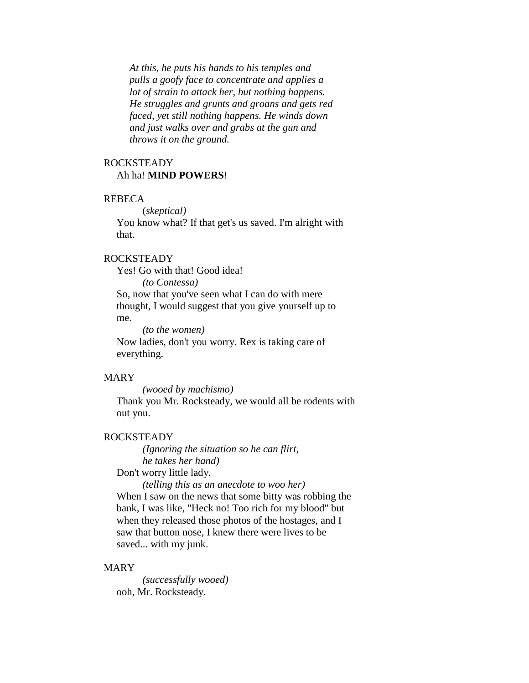*At this, he puts his hands to his temples and pulls a goofy face to concentrate and applies a lot of strain to attack her, but nothing happens. He struggles and grunts and groans and gets red faced, yet still nothing happens. He winds down and just walks over and grabs at the gun and throws it on the ground.*

# ROCKSTEADY Ah ha! **MIND POWERS**!

#### REBECA

(*skeptical)*

 You know what? If that get's us saved. I'm alright with that.

# ROCKSTEADY

Yes! Go with that! Good idea!

 *(to Contessa)* So, now that you've seen what I can do with mere thought, I would suggest that you give yourself up to me.

 *(to the women)* Now ladies, don't you worry. Rex is taking care of everything.

#### MARY

*(wooed by machismo)*

 Thank you Mr. Rocksteady, we would all be rodents with out you.

#### ROCKSTEADY

 *(Ignoring the situation so he can flirt, he takes her hand)*

Don't worry little lady.

 *(telling this as an anecdote to woo her)* When I saw on the news that some bitty was robbing the bank, I was like, "Heck no! Too rich for my blood" but when they released those photos of the hostages, and I saw that button nose, I knew there were lives to be saved... with my junk.

#### MARY

 *(successfully wooed)* ooh, Mr. Rocksteady.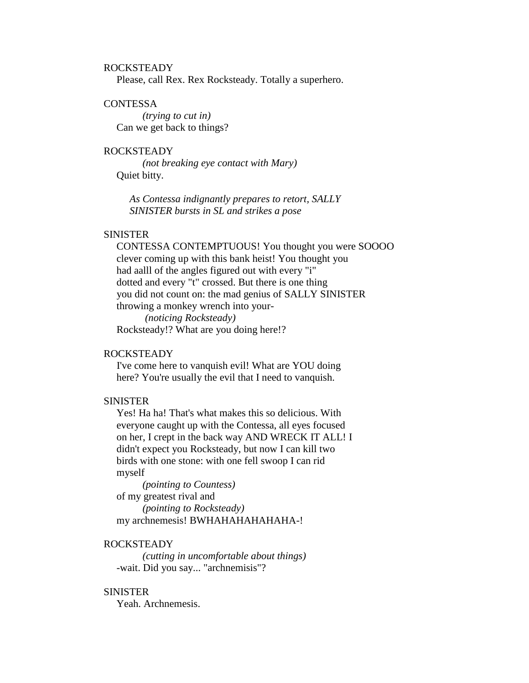# ROCKSTEADY

Please, call Rex. Rex Rocksteady. Totally a superhero.

# **CONTESSA**

 *(trying to cut in)* Can we get back to things?

# ROCKSTEADY

 *(not breaking eye contact with Mary)* Quiet bitty.

 *As Contessa indignantly prepares to retort, SALLY SINISTER bursts in SL and strikes a pose*

### **SINISTER**

 CONTESSA CONTEMPTUOUS! You thought you were SOOOO clever coming up with this bank heist! You thought you had aalll of the angles figured out with every "i" dotted and every "t" crossed. But there is one thing you did not count on: the mad genius of SALLY SINISTER throwing a monkey wrench into your-

 *(noticing Rocksteady)* Rocksteady!? What are you doing here!?

### ROCKSTEADY

 I've come here to vanquish evil! What are YOU doing here? You're usually the evil that I need to vanquish.

### SINISTER

 Yes! Ha ha! That's what makes this so delicious. With everyone caught up with the Contessa, all eyes focused on her, I crept in the back way AND WRECK IT ALL! I didn't expect you Rocksteady, but now I can kill two birds with one stone: with one fell swoop I can rid myself

 *(pointing to Countess)* of my greatest rival and *(pointing to Rocksteady)* my archnemesis! BWHAHAHAHAHAHA-!

#### ROCKSTEADY

 *(cutting in uncomfortable about things)* -wait. Did you say... "archnemisis"?

#### **SINISTER**

Yeah. Archnemesis.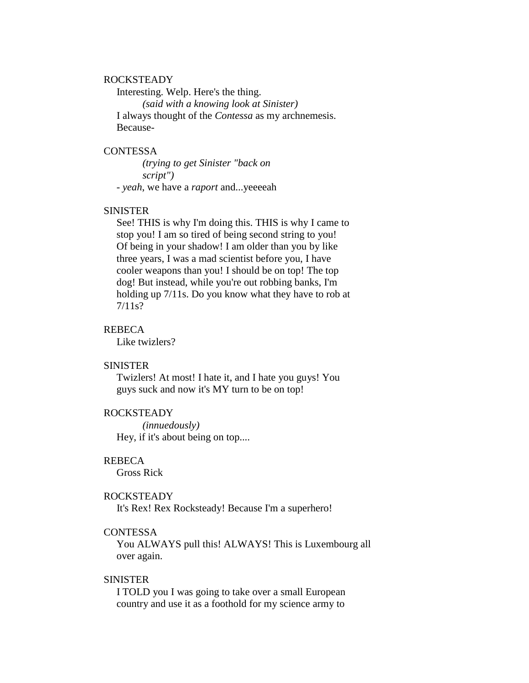#### ROCKSTEADY

 Interesting. Welp. Here's the thing.  *(said with a knowing look at Sinister)* I always thought of the *Contessa* as my archnemesis. Because-

### **CONTESSA**

 *(trying to get Sinister "back on script")* - *yeah*, we have a *raport* and...yeeeeah

#### SINISTER

 See! THIS is why I'm doing this. THIS is why I came to stop you! I am so tired of being second string to you! Of being in your shadow! I am older than you by like three years, I was a mad scientist before you, I have cooler weapons than you! I should be on top! The top dog! But instead, while you're out robbing banks, I'm holding up 7/11s. Do you know what they have to rob at 7/11s?

#### REBECA

Like twizlers?

# SINISTER

 Twizlers! At most! I hate it, and I hate you guys! You guys suck and now it's MY turn to be on top!

# ROCKSTEADY

 *(innuedously)* Hey, if it's about being on top....

# REBECA

Gross Rick

#### ROCKSTEADY

It's Rex! Rex Rocksteady! Because I'm a superhero!

# **CONTESSA**

 You ALWAYS pull this! ALWAYS! This is Luxembourg all over again.

## SINISTER

 I TOLD you I was going to take over a small European country and use it as a foothold for my science army to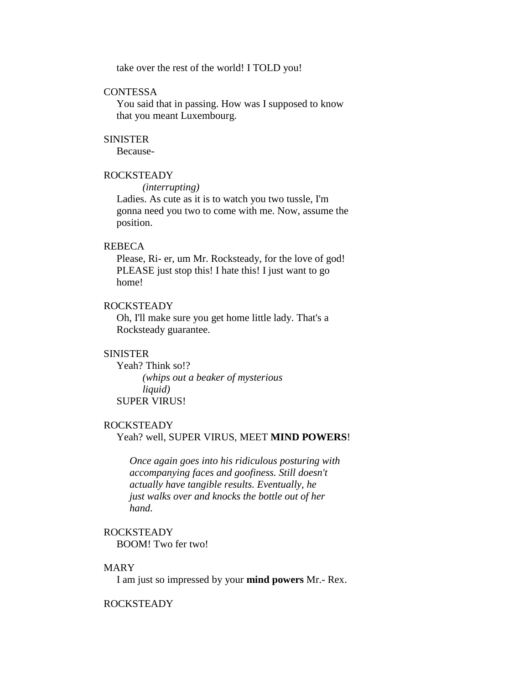take over the rest of the world! I TOLD you!

# **CONTESSA**

 You said that in passing. How was I supposed to know that you meant Luxembourg.

#### **SINISTER**

Because-

#### ROCKSTEADY

*(interrupting)*

 Ladies. As cute as it is to watch you two tussle, I'm gonna need you two to come with me. Now, assume the position.

### REBECA

 Please, Ri- er, um Mr. Rocksteady, for the love of god! PLEASE just stop this! I hate this! I just want to go home!

# ROCKSTEADY

 Oh, I'll make sure you get home little lady. That's a Rocksteady guarantee.

#### **SINISTER**

Yeah? Think so!?  *(whips out a beaker of mysterious liquid)* SUPER VIRUS!

#### ROCKSTEADY

#### Yeah? well, SUPER VIRUS, MEET **MIND POWERS**!

 *Once again goes into his ridiculous posturing with accompanying faces and goofiness. Still doesn't actually have tangible results. Eventually, he just walks over and knocks the bottle out of her hand.*

# ROCKSTEADY

BOOM! Two fer two!

#### MARY

I am just so impressed by your **mind powers** Mr.- Rex.

# ROCKSTEADY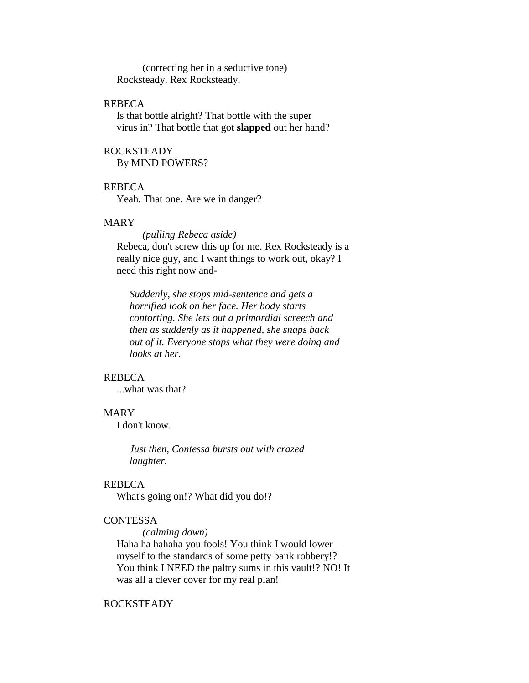(correcting her in a seductive tone) Rocksteady. Rex Rocksteady.

# REBECA

 Is that bottle alright? That bottle with the super virus in? That bottle that got **slapped** out her hand?

# ROCKSTEADY

By MIND POWERS?

### REBECA

Yeah. That one. Are we in danger?

# MARY

 *(pulling Rebeca aside)* Rebeca, don't screw this up for me. Rex Rocksteady is a really nice guy, and I want things to work out, okay? I need this right now and-

 *Suddenly, she stops mid-sentence and gets a horrified look on her face. Her body starts contorting. She lets out a primordial screech and then as suddenly as it happened, she snaps back out of it. Everyone stops what they were doing and looks at her.*

### REBECA

...what was that?

# MARY

I don't know.

 *Just then, Contessa bursts out with crazed laughter.*

### REBECA

What's going on!? What did you do!?

# **CONTESSA**

*(calming down)*

 Haha ha hahaha you fools! You think I would lower myself to the standards of some petty bank robbery!? You think I NEED the paltry sums in this vault!? NO! It was all a clever cover for my real plan!

# ROCKSTEADY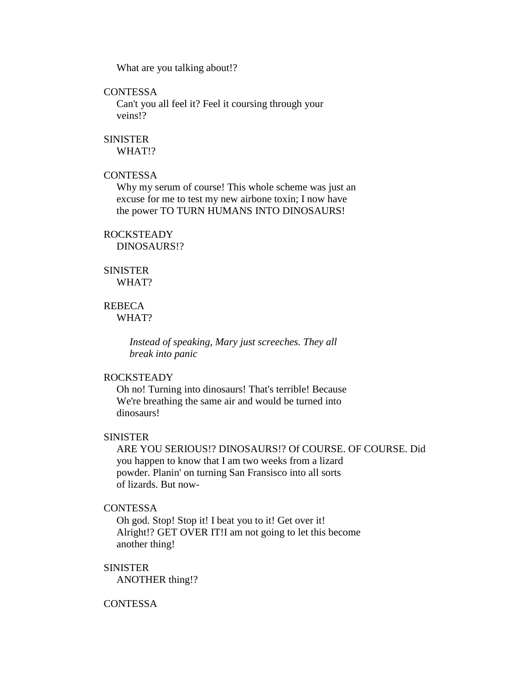What are you talking about!?

# **CONTESSA**

 Can't you all feel it? Feel it coursing through your veins!?

### **SINISTER**

WHAT!?

# **CONTESSA**

 Why my serum of course! This whole scheme was just an excuse for me to test my new airbone toxin; I now have the power TO TURN HUMANS INTO DINOSAURS!

#### ROCKSTEADY

DINOSAURS!?

#### **SINISTER**

WHAT?

# REBECA

WHAT?

 *Instead of speaking, Mary just screeches. They all break into panic*

# ROCKSTEADY

 Oh no! Turning into dinosaurs! That's terrible! Because We're breathing the same air and would be turned into dinosaurs!

# SINISTER

 ARE YOU SERIOUS!? DINOSAURS!? Of COURSE. OF COURSE. Did you happen to know that I am two weeks from a lizard powder. Planin' on turning San Fransisco into all sorts of lizards. But now-

## **CONTESSA**

 Oh god. Stop! Stop it! I beat you to it! Get over it! Alright!? GET OVER IT!I am not going to let this become another thing!

#### SINISTER

ANOTHER thing!?

# **CONTESSA**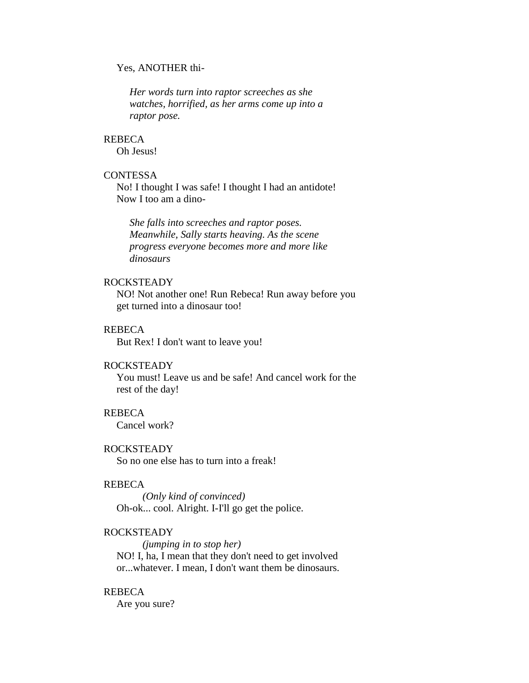### Yes, ANOTHER thi-

 *Her words turn into raptor screeches as she watches, horrified, as her arms come up into a raptor pose.*

### REBECA

Oh Jesus!

# **CONTESSA**

 No! I thought I was safe! I thought I had an antidote! Now I too am a dino-

 *She falls into screeches and raptor poses. Meanwhile, Sally starts heaving. As the scene progress everyone becomes more and more like dinosaurs*

# ROCKSTEADY

 NO! Not another one! Run Rebeca! Run away before you get turned into a dinosaur too!

## REBECA

But Rex! I don't want to leave you!

# ROCKSTEADY

 You must! Leave us and be safe! And cancel work for the rest of the day!

# REBECA

Cancel work?

#### ROCKSTEADY

So no one else has to turn into a freak!

### REBECA

 *(Only kind of convinced)* Oh-ok... cool. Alright. I-I'll go get the police.

# ROCKSTEADY

 *(jumping in to stop her)* NO! I, ha, I mean that they don't need to get involved or...whatever. I mean, I don't want them be dinosaurs.

#### REBECA

Are you sure?